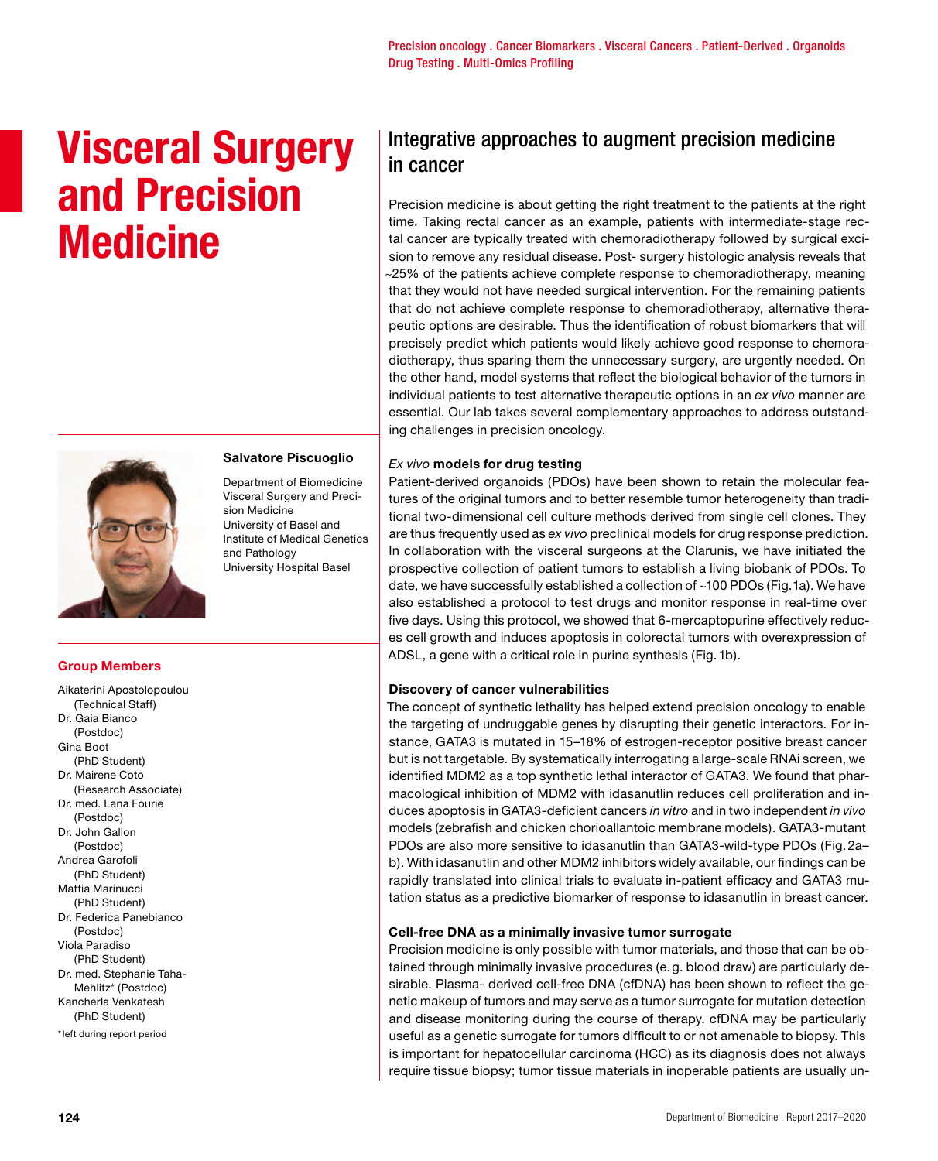# **Visceral Surgery and Precision Medicine**



# **Salvatore Piscuoglio**

Department of Biomedicine Visceral Surgery and Precision Medicine University of Basel and Institute of Medical Genetics and Pathology University Hospital Basel

## **Group Members**

Aikaterini Apostolopoulou (Technical Staff) Dr. Gaia Bianco (Postdoc) Gina Boot (PhD Student) Dr. Mairene Coto (Research Associate) Dr. med. Lana Fourie (Postdoc) Dr. John Gallon (Postdoc) Andrea Garofoli (PhD Student) Mattia Marinucci (PhD Student) Dr. Federica Panebianco (Postdoc) Viola Paradiso (PhD Student) Dr. med. Stephanie Taha-Mehlitz\* (Postdoc) Kancherla Venkatesh (PhD Student) \*left during report period

# Integrative approaches to augment precision medicine in cancer

Precision medicine is about getting the right treatment to the patients at the right time. Taking rectal cancer as an example, patients with intermediate-stage rectal cancer are typically treated with chemoradiotherapy followed by surgical excision to remove any residual disease. Post- surgery histologic analysis reveals that ~25% of the patients achieve complete response to chemoradiotherapy, meaning that they would not have needed surgical intervention. For the remaining patients that do not achieve complete response to chemoradiotherapy, alternative therapeutic options are desirable. Thus the identification of robust biomarkers that will precisely predict which patients would likely achieve good response to chemoradiotherapy, thus sparing them the unnecessary surgery, are urgently needed. On the other hand, model systems that reflect the biological behavior of the tumors in individual patients to test alternative therapeutic options in an *ex vivo* manner are essential. Our lab takes several complementary approaches to address outstanding challenges in precision oncology.

## *Ex vivo* **models for drug testing**

Patient-derived organoids (PDOs) have been shown to retain the molecular features of the original tumors and to better resemble tumor heterogeneity than traditional two-dimensional cell culture methods derived from single cell clones. They are thus frequently used as *ex vivo* preclinical models for drug response prediction. In collaboration with the visceral surgeons at the Clarunis, we have initiated the prospective collection of patient tumors to establish a living biobank of PDOs. To date, we have successfully established a collection of ~100 PDOs (Fig.1a). We have also established a protocol to test drugs and monitor response in real-time over five days. Using this protocol, we showed that 6-mercaptopurine effectively reduces cell growth and induces apoptosis in colorectal tumors with overexpression of ADSL, a gene with a critical role in purine synthesis (Fig.1b).

#### **Discovery of cancer vulnerabilities**

The concept of synthetic lethality has helped extend precision oncology to enable the targeting of undruggable genes by disrupting their genetic interactors. For instance, GATA3 is mutated in 15–18% of estrogen-receptor positive breast cancer but is not targetable. By systematically interrogating a large-scale RNAi screen, we identified MDM2 as a top synthetic lethal interactor of GATA3. We found that pharmacological inhibition of MDM2 with idasanutlin reduces cell proliferation and induces apoptosis in GATA3-deficient cancers *in vitro* and in two independent *in vivo* models (zebrafish and chicken chorioallantoic membrane models). GATA3-mutant PDOs are also more sensitive to idasanutlin than GATA3-wild-type PDOs (Fig.2a– b). With idasanutlin and other MDM2 inhibitors widely available, our findings can be rapidly translated into clinical trials to evaluate in-patient efficacy and GATA3 mutation status as a predictive biomarker of response to idasanutlin in breast cancer.

#### **Cell-free DNA as a minimally invasive tumor surrogate**

Precision medicine is only possible with tumor materials, and those that can be obtained through minimally invasive procedures (e.g. blood draw) are particularly desirable. Plasma- derived cell-free DNA (cfDNA) has been shown to reflect the genetic makeup of tumors and may serve as a tumor surrogate for mutation detection and disease monitoring during the course of therapy. cfDNA may be particularly useful as a genetic surrogate for tumors difficult to or not amenable to biopsy. This is important for hepatocellular carcinoma (HCC) as its diagnosis does not always require tissue biopsy; tumor tissue materials in inoperable patients are usually un-